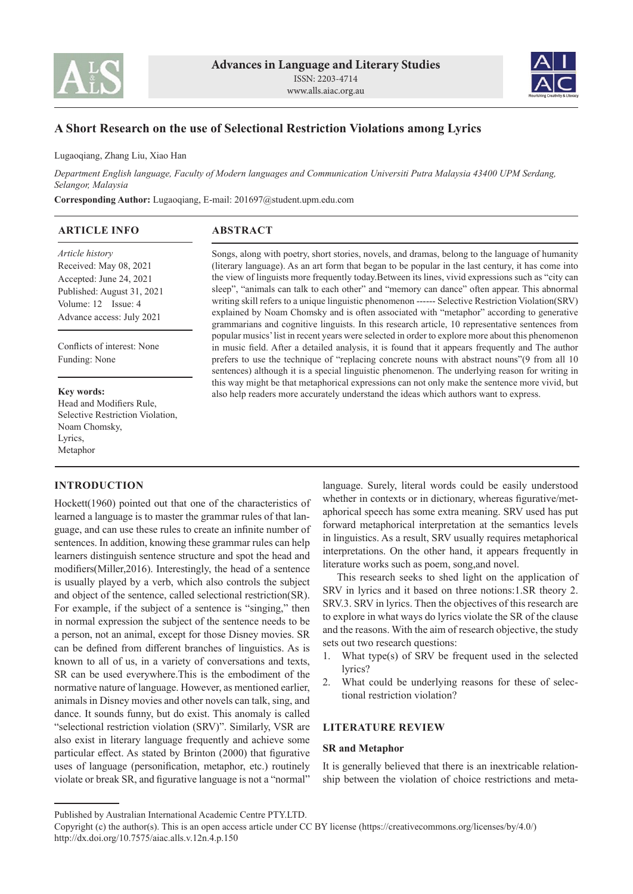



# **A Short Research on the use of Selectional Restriction Violations among Lyrics**

Lugaoqiang, Zhang Liu, Xiao Han

*Department English language, Faculty of Modern languages and Communication Universiti Putra Malaysia 43400 UPM Serdang, Selangor, Malaysia*

**Corresponding Author:** Lugaoqiang, E-mail: 201697@student.upm.edu.com

| <b>ARTICLE INFO</b>                                                                                                                                    | <b>ABSTRACT</b>                                                                                                                                                                                                                                                                                                                                                                                                                                                                                                                                                                                                                                                                                                    |  |  |
|--------------------------------------------------------------------------------------------------------------------------------------------------------|--------------------------------------------------------------------------------------------------------------------------------------------------------------------------------------------------------------------------------------------------------------------------------------------------------------------------------------------------------------------------------------------------------------------------------------------------------------------------------------------------------------------------------------------------------------------------------------------------------------------------------------------------------------------------------------------------------------------|--|--|
| Article history<br>Received: May 08, 2021<br>Accepted: June 24, 2021<br>Published: August 31, 2021<br>Volume: 12 Issue: 4<br>Advance access: July 2021 | Songs, along with poetry, short stories, novels, and dramas, belong to the language of humanity<br>(literary language). As an art form that began to be popular in the last century, it has come into<br>the view of linguists more frequently today. Between its lines, vivid expressions such as "city can<br>sleep", "animals can talk to each other" and "memory can dance" often appear. This abnormal<br>writing skill refers to a unique linguistic phenomenon ------ Selective Restriction Violation (SRV)<br>explained by Noam Chomsky and is often associated with "metaphor" according to generative<br>grammarians and cognitive linguists. In this research article, 10 representative sentences from |  |  |
| Conflicts of interest: None<br>Funding: None                                                                                                           | popular musics' list in recent years were selected in order to explore more about this phenomenon<br>in music field. After a detailed analysis, it is found that it appears frequently and The author<br>prefers to use the technique of "replacing concrete nouns with abstract nouns" (9 from all 10<br>sentences) although it is a special linguistic phenomenon. The underlying reason for writing in                                                                                                                                                                                                                                                                                                          |  |  |
| Key words:<br>Head and Modifiers Rule,<br>Selective Restriction Violation,                                                                             | this way might be that metaphorical expressions can not only make the sentence more vivid, but<br>also help readers more accurately understand the ideas which authors want to express.                                                                                                                                                                                                                                                                                                                                                                                                                                                                                                                            |  |  |

Noam Chomsky, Lyrics. Metaphor

## **INTRODUCTION**

Hockett(1960) pointed out that one of the characteristics of learned a language is to master the grammar rules of that language, and can use these rules to create an infinite number of sentences. In addition, knowing these grammar rules can help learners distinguish sentence structure and spot the head and modifiers(Miller,2016). Interestingly, the head of a sentence is usually played by a verb, which also controls the subject and object of the sentence, called selectional restriction(SR). For example, if the subject of a sentence is "singing," then in normal expression the subject of the sentence needs to be a person, not an animal, except for those Disney movies. SR can be defined from different branches of linguistics. As is known to all of us, in a variety of conversations and texts, SR can be used everywhere.This is the embodiment of the normative nature of language. However, as mentioned earlier, animals in Disney movies and other novels can talk, sing, and dance. It sounds funny, but do exist. This anomaly is called "selectional restriction violation (SRV)". Similarly, VSR are also exist in literary language frequently and achieve some particular effect. As stated by Brinton (2000) that figurative uses of language (personification, metaphor, etc.) routinely violate or break SR, and figurative language is not a "normal"

language. Surely, literal words could be easily understood whether in contexts or in dictionary, whereas figurative/metaphorical speech has some extra meaning. SRV used has put forward metaphorical interpretation at the semantics levels in linguistics. As a result, SRV usually requires metaphorical interpretations. On the other hand, it appears frequently in literature works such as poem, song,and novel.

This research seeks to shed light on the application of SRV in lyrics and it based on three notions:1.SR theory 2. SRV.3. SRV in lyrics. Then the objectives of this research are to explore in what ways do lyrics violate the SR of the clause and the reasons. With the aim of research objective, the study sets out two research questions:

- 1. What type(s) of SRV be frequent used in the selected lyrics?
- 2. What could be underlying reasons for these of selectional restriction violation?

## **LITERATURE REVIEW**

## **SR and Metaphor**

It is generally believed that there is an inextricable relationship between the violation of choice restrictions and meta-

Published by Australian International Academic Centre PTY.LTD.

Copyright (c) the author(s). This is an open access article under CC BY license (https://creativecommons.org/licenses/by/4.0/) http://dx.doi.org/10.7575/aiac.alls.v.12n.4.p.150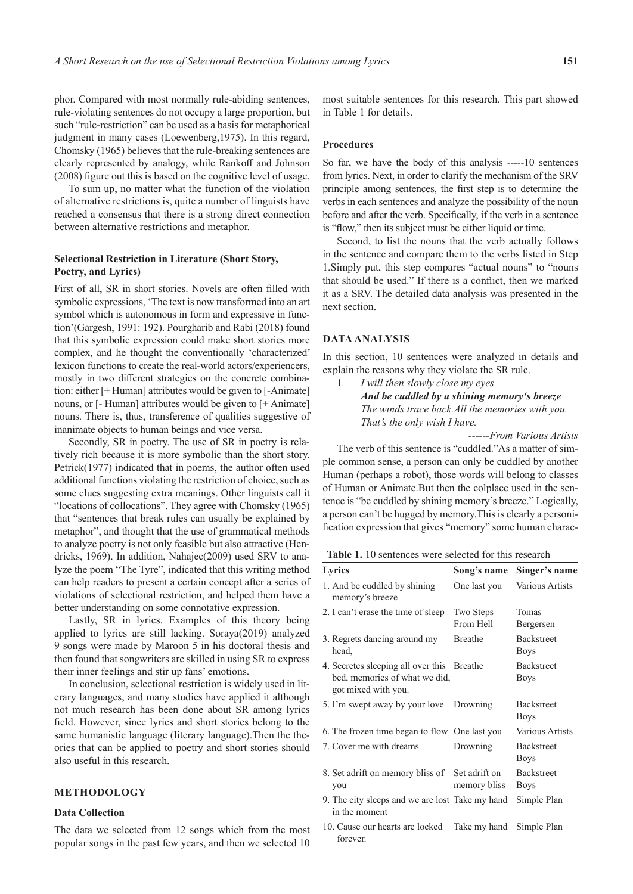phor. Compared with most normally rule-abiding sentences, rule-violating sentences do not occupy a large proportion, but such "rule-restriction" can be used as a basis for metaphorical judgment in many cases (Loewenberg,1975). In this regard, Chomsky (1965) believes that the rule-breaking sentences are clearly represented by analogy, while Rankoff and Johnson (2008) figure out this is based on the cognitive level of usage.

To sum up, no matter what the function of the violation of alternative restrictions is, quite a number of linguists have reached a consensus that there is a strong direct connection between alternative restrictions and metaphor.

## **Selectional Restriction in Literature (Short Story, Poetry, and Lyrics)**

First of all, SR in short stories. Novels are often filled with symbolic expressions, 'The text is now transformed into an art symbol which is autonomous in form and expressive in function'(Gargesh, 1991: 192). Pourgharib and Rabi (2018) found that this symbolic expression could make short stories more complex, and he thought the conventionally 'characterized' lexicon functions to create the real-world actors/experiencers, mostly in two different strategies on the concrete combination: either [+ Human] attributes would be given to [-Animate] nouns, or [- Human] attributes would be given to [+ Animate] nouns. There is, thus, transference of qualities suggestive of inanimate objects to human beings and vice versa.

Secondly, SR in poetry. The use of SR in poetry is relatively rich because it is more symbolic than the short story. Petrick(1977) indicated that in poems, the author often used additional functions violating the restriction of choice, such as some clues suggesting extra meanings. Other linguists call it "locations of collocations". They agree with Chomsky (1965) that "sentences that break rules can usually be explained by metaphor", and thought that the use of grammatical methods to analyze poetry is not only feasible but also attractive (Hendricks, 1969). In addition, Nahajec(2009) used SRV to analyze the poem "The Tyre", indicated that this writing method can help readers to present a certain concept after a series of violations of selectional restriction, and helped them have a better understanding on some connotative expression.

Lastly, SR in lyrics. Examples of this theory being applied to lyrics are still lacking. Soraya(2019) analyzed 9 songs were made by Maroon 5 in his doctoral thesis and then found that songwriters are skilled in using SR to express their inner feelings and stir up fans' emotions.

In conclusion, selectional restriction is widely used in literary languages, and many studies have applied it although not much research has been done about SR among lyrics field. However, since lyrics and short stories belong to the same humanistic language (literary language).Then the theories that can be applied to poetry and short stories should also useful in this research.

### **METHODOLOGY**

### **Data Collection**

The data we selected from 12 songs which from the most popular songs in the past few years, and then we selected 10 most suitable sentences for this research. This part showed in Table 1 for details.

## **Procedures**

So far, we have the body of this analysis -----10 sentences from lyrics. Next, in order to clarify the mechanism of the SRV principle among sentences, the first step is to determine the verbs in each sentences and analyze the possibility of the noun before and after the verb. Specifically, if the verb in a sentence is "flow," then its subject must be either liquid or time.

Second, to list the nouns that the verb actually follows in the sentence and compare them to the verbs listed in Step 1.Simply put, this step compares "actual nouns" to "nouns that should be used." If there is a conflict, then we marked it as a SRV. The detailed data analysis was presented in the next section.

#### **DATA ANALYSIS**

In this section, 10 sentences were analyzed in details and explain the reasons why they violate the SR rule.

1*. I will then slowly close my eyes And be cuddled by a shining memory's breeze The winds trace back.All the memories with you. That's the only wish I have.*

*------From Various Artists*

The verb of this sentence is "cuddled."As a matter of simple common sense, a person can only be cuddled by another Human (perhaps a robot), those words will belong to classes of Human or Animate.But then the colplace used in the sentence is "be cuddled by shining memory's breeze." Logically, a person can't be hugged by memory.This is clearly a personification expression that gives "memory" some human charac-

| <b>Table 1.</b> 10 sentences were selected for this research |
|--------------------------------------------------------------|
|--------------------------------------------------------------|

| Lyrics                                                                                     | Song's name                   | Singer's name                    |
|--------------------------------------------------------------------------------------------|-------------------------------|----------------------------------|
| 1. And be cuddled by shining<br>memory's breeze                                            | One last you                  | Various Artists                  |
| 2. I can't erase the time of sleep                                                         | Two Steps<br>From Hell        | Tomas<br>Bergersen               |
| 3. Regrets dancing around my<br>head,                                                      | <b>Breathe</b>                | <b>Backstreet</b><br><b>Boys</b> |
| 4. Secretes sleeping all over this<br>bed, memories of what we did,<br>got mixed with you. | <b>Breathe</b>                | <b>Backstreet</b><br><b>Boys</b> |
| 5. I'm swept away by your love                                                             | Drowning                      | <b>Backstreet</b><br><b>Boys</b> |
| 6. The frozen time began to flow One last you                                              |                               | Various Artists                  |
| 7. Cover me with dreams                                                                    | Drowning                      | <b>Backstreet</b><br><b>Boys</b> |
| 8. Set adrift on memory bliss of<br>you                                                    | Set adrift on<br>memory bliss | <b>Backstreet</b><br><b>Boys</b> |
| 9. The city sleeps and we are lost Take my hand<br>in the moment                           |                               | Simple Plan                      |
| 10. Cause our hearts are locked<br>forever.                                                | Take my hand                  | Simple Plan                      |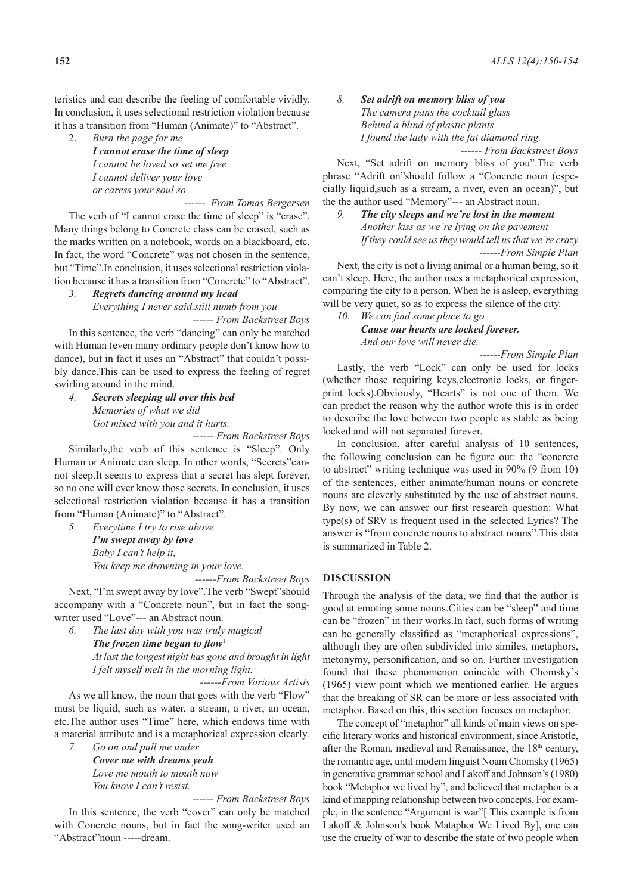it has a transition from "Human (Animate)" to "Abstract". 2. *Burn the page for me*

*I cannot erase the time of sleep I cannot be loved so set me free I cannot deliver your love*

*or caress your soul so.*

*------ From Tomas Bergersen* The verb of "I cannot erase the time of sleep" is "erase". Many things belong to Concrete class can be erased, such as the marks written on a notebook, words on a blackboard, etc. In fact, the word "Concrete" was not chosen in the sentence, but "Time".In conclusion, it uses selectional restriction violation because it has a transition from "Concrete" to "Abstract".

*3. Regrets dancing around my head*

*Everything I never said,still numb from you*

*------ From Backstreet Boys* In this sentence, the verb "dancing" can only be matched with Human (even many ordinary people don't know how to dance), but in fact it uses an "Abstract" that couldn't possibly dance.This can be used to express the feeling of regret swirling around in the mind.

*4. Secrets sleeping all over this bed Memories of what we did Got mixed with you and it hurts.*

*------ From Backstreet Boys* Similarly,the verb of this sentence is "Sleep". Only Human or Animate can sleep. In other words, "Secrets"cannot sleep.It seems to express that a secret has slept forever, so no one will ever know those secrets. In conclusion, it uses selectional restriction violation because it has a transition from "Human (Animate)" to "Abstract".

*5. Everytime I try to rise above*

*I'm swept away by love Baby I can't help it,*

*You keep me drowning in your love.*

*------From Backstreet Boys* Next, "I'm swept away by love".The verb "Swept"should accompany with a "Concrete noun", but in fact the songwriter used "Love"--- an Abstract noun.

*6. The last day with you was truly magical The frozen time began to flow*<sup>1</sup> *At last the longest night has gone and brought in light I felt myself melt in the morning light.*

*------From Various Artists* As we all know, the noun that goes with the verb "Flow" must be liquid, such as water, a stream, a river, an ocean, etc.The author uses "Time" here, which endows time with a material attribute and is a metaphorical expression clearly.

*7. Go on and pull me under Cover me with dreams yeah Love me mouth to mouth now You know I can't resist.*

*------ From Backstreet Boys* In this sentence, the verb "cover" can only be matched with Concrete nouns, but in fact the song-writer used an "Abstract"noun -----dream.

*8. Set adrift on memory bliss of you The camera pans the cocktail glass Behind a blind of plastic plants I found the lady with the fat diamond ring.*

*------ From Backstreet Boys*

Next, "Set adrift on memory bliss of you".The verb phrase "Adrift on"should follow a "Concrete noun (especially liquid,such as a stream, a river, even an ocean)", but the the author used "Memory"--- an Abstract noun.

*9. The city sleeps and we're lost in the moment Another kiss as we're lying on the pavement If they could see us they would tell us that we're crazy ------From Simple Plan*

Next, the city is not a living animal or a human being, so it can't sleep. Here, the author uses a metaphorical expression, comparing the city to a person. When he is asleep, everything will be very quiet, so as to express the silence of the city.

*10. We can find some place to go Cause our hearts are locked forever. And our love will never die.*

*------From Simple Plan*

Lastly, the verb "Lock" can only be used for locks (whether those requiring keys,electronic locks, or fingerprint locks).Obviously, "Hearts" is not one of them. We can predict the reason why the author wrote this is in order to describe the love between two people as stable as being locked and will not separated forever.

In conclusion, after careful analysis of 10 sentences, the following conclusion can be figure out: the "concrete to abstract" writing technique was used in 90% (9 from 10) of the sentences, either animate/human nouns or concrete nouns are cleverly substituted by the use of abstract nouns. By now, we can answer our first research question: What type(s) of SRV is frequent used in the selected Lyrics? The answer is "from concrete nouns to abstract nouns".This data is summarized in Table 2.

## **DISCUSSION**

Through the analysis of the data, we find that the author is good at emoting some nouns.Cities can be "sleep" and time can be "frozen" in their works.In fact, such forms of writing can be generally classified as "metaphorical expressions", although they are often subdivided into similes, metaphors, metonymy, personification, and so on. Further investigation found that these phenomenon coincide with Chomsky's (1965) view point which we mentioned earlier. He argues that the breaking of SR can be more or less associated with metaphor. Based on this, this section focuses on metaphor.

The concept of "metaphor" all kinds of main views on specific literary works and historical environment, since Aristotle, after the Roman, medieval and Renaissance, the 18<sup>th</sup> century, the romantic age, until modern linguist Noam Chomsky (1965) in generative grammar school and Lakoff and Johnson's (1980) book "Metaphor we lived by", and believed that metaphor is a kind of mapping relationship between two concepts. For example, in the sentence "Argument is war"[ This example is from Lakoff & Johnson's book Mataphor We Lived By], one can use the cruelty of war to describe the state of two people when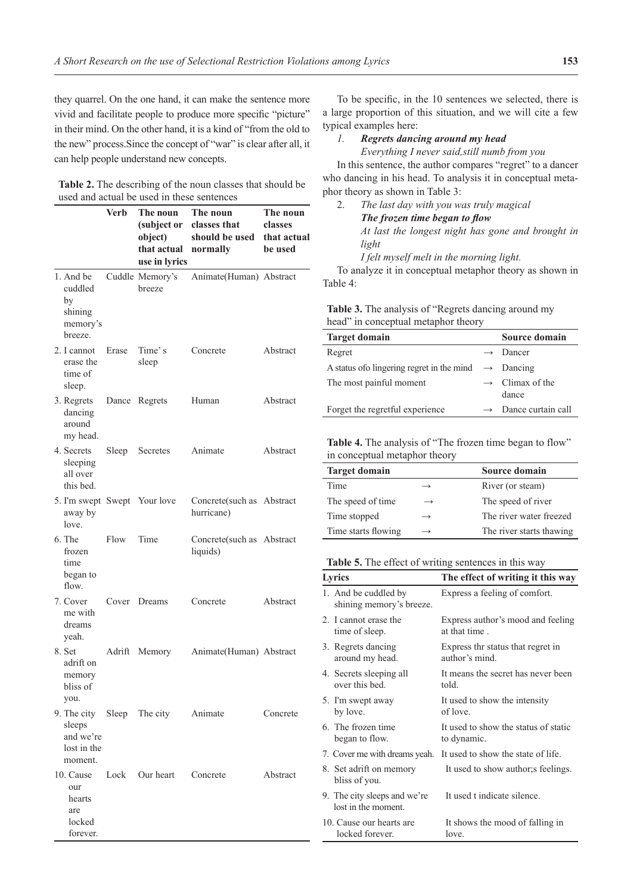they quarrel. On the one hand, it can make the sentence more vivid and facilitate people to produce more specific "picture" in their mind. On the other hand, it is a kind of "from the old to the new" process.Since the concept of "war" is clear after all, it can help people understand new concepts.

| Table 2. The describing of the noun classes that should be |
|------------------------------------------------------------|
| used and actual be used in these sentences                 |

|                                                              | Verb   | The noun<br>(subject or<br>object)<br>that actual<br>use in lyrics | The noun<br>classes that<br>should be used that actual<br>normally | The noun<br>classes<br>be used |
|--------------------------------------------------------------|--------|--------------------------------------------------------------------|--------------------------------------------------------------------|--------------------------------|
| 1. And be<br>cuddled<br>by<br>shining<br>memory's<br>breeze. |        | Cuddle Memory's<br>breeze                                          | Animate(Human) Abstract                                            |                                |
| 2. I cannot<br>erase the<br>time of<br>sleep.                | Erase  | Time's<br>sleep                                                    | Concrete                                                           | Abstract                       |
| 3. Regrets<br>dancing<br>around<br>my head.                  | Dance  | Regrets                                                            | Human                                                              | Abstract                       |
| 4. Secrets<br>sleeping<br>all over<br>this bed.              |        | Sleep Secretes                                                     | Animate                                                            | Abstract                       |
| 5. I'm swept Swept Your love<br>away by<br>love.             |        |                                                                    | Concrete(such as Abstract<br>hurricane)                            |                                |
| 6. The<br>frozen<br>time<br>began to<br>flow.                | Flow   | Time                                                               | Concrete(such as Abstract<br>liquids)                              |                                |
| 7. Cover<br>me with<br>dreams<br>yeah.                       |        | Cover Dreams                                                       | Concrete                                                           | Abstract                       |
| 8. Set<br>adrift on<br>memory<br>bliss of<br>you.            | Adrift | Memory                                                             | Animate(Human) Abstract                                            |                                |
| sleeps<br>and we're<br>lost in the<br>moment.                |        | 9. The city Sleep The city Animate                                 |                                                                    | Concrete                       |
| 10. Cause<br>011r<br>hearts<br>are<br>locked<br>forever.     |        | Lock Our heart                                                     | Concrete                                                           | Abstract                       |

To be specific, in the 10 sentences we selected, there is a large proportion of this situation, and we will cite a few typical examples here:

## *1. Regrets dancing around my head*

*Everything I never said,still numb from you*

In this sentence, the author compares "regret" to a dancer who dancing in his head. To analysis it in conceptual metaphor theory as shown in Table 3:

2. *The last day with you was truly magical The frozen time began to flow*

 *At last the longest night has gone and brought in light*

*I felt myself melt in the morning light.*

To analyze it in conceptual metaphor theory as shown in Table 4:

|  | <b>Table 3.</b> The analysis of "Regrets dancing around my |  |  |  |
|--|------------------------------------------------------------|--|--|--|
|  | head" in conceptual metaphor theory                        |  |  |  |

| <b>Target domain</b>                                             |               | Source domain                        |
|------------------------------------------------------------------|---------------|--------------------------------------|
| Regret                                                           |               | $\rightarrow$ Dancer                 |
| A status of o lingering regret in the mind $\rightarrow$ Dancing |               |                                      |
| The most painful moment                                          |               | $\rightarrow$ Climax of the<br>dance |
| Forget the regretful experience                                  | $\rightarrow$ | Dance curtain call                   |

**Table 4.** The analysis of "The frozen time began to flow" in conceptual metaphor theory

| <b>Target domain</b> |               | Source domain            |
|----------------------|---------------|--------------------------|
| Time                 | $\rightarrow$ | River (or steam)         |
| The speed of time    | $\rightarrow$ | The speed of river       |
| Time stopped         | $\rightarrow$ | The river water freezed  |
| Time starts flowing  | $\rightarrow$ | The river starts thawing |

## **Table 5.** The effect of writing sentences in this way

| Lyrics                                              | The effect of writing it this way    |  |  |
|-----------------------------------------------------|--------------------------------------|--|--|
| 1. And be cuddled by<br>shining memory's breeze.    | Express a feeling of comfort.        |  |  |
| 2. I cannot erase the                               | Express author's mood and feeling    |  |  |
| time of sleep.                                      | at that time.                        |  |  |
| 3. Regrets dancing                                  | Express thr status that regret in    |  |  |
| around my head.                                     | author's mind.                       |  |  |
| 4. Secrets sleeping all                             | It means the secret has never been   |  |  |
| over this bed.                                      | told.                                |  |  |
| 5. I'm swept away                                   | It used to show the intensity        |  |  |
| by love.                                            | of love.                             |  |  |
| 6. The frozen time                                  | It used to show the status of static |  |  |
| began to flow.                                      | to dynamic.                          |  |  |
| 7. Cover me with dreams yeah.                       | It used to show the state of life.   |  |  |
| 8. Set adrift on memory<br>bliss of you.            | It used to show author; sfeelings.   |  |  |
| 9. The city sleeps and we're<br>lost in the moment. | It used t indicate silence.          |  |  |
| 10. Cause our hearts are                            | It shows the mood of falling in      |  |  |
| locked forever.                                     | love.                                |  |  |